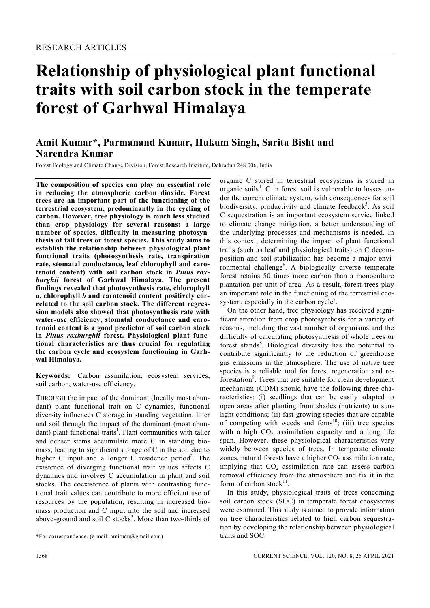# **Relationship of physiological plant functional traits with soil carbon stock in the temperate forest of Garhwal Himalaya**

# **Amit Kumar\*, Parmanand Kumar, Hukum Singh, Sarita Bisht and Narendra Kumar**

Forest Ecology and Climate Change Division, Forest Research Institute, Dehradun 248 006, India

**The composition of species can play an essential role in reducing the atmospheric carbon dioxide. Forest trees are an important part of the functioning of the terrestrial ecosystem, predominantly in the cycling of carbon. However, tree physiology is much less studied than crop physiology for several reasons: a large number of species, difficulty in measuring photosynthesis of tall trees or forest species. This study aims to establish the relationship between physiological plant functional traits (photosynthesis rate, transpiration rate, stomatal conductance, leaf chlorophyll and carotenoid content) with soil carbon stock in** *Pinus roxburghii* **forest of Garhwal Himalaya. The present findings revealed that photosynthesis rate, chlorophyll**  *a***, chlorophyll** *b* **and carotenoid content positively correlated to the soil carbon stock. The different regression models also showed that photosynthesis rate with water-use efficiency, stomatal conductance and carotenoid content is a good predictor of soil carbon stock in** *Pinus roxburghii* **forest. Physiological plant functional characteristics are thus crucial for regulating the carbon cycle and ecosystem functioning in Garhwal Himalaya.** 

**Keywords:** Carbon assimilation, ecosystem services, soil carbon, water-use efficiency.

THROUGH the impact of the dominant (locally most abundant) plant functional trait on C dynamics, functional diversity influences C storage in standing vegetation, litter and soil through the impact of the dominant (most abundant) plant functional traits<sup>1</sup>. Plant communities with taller and denser stems accumulate more C in standing biomass, leading to significant storage of C in the soil due to higher C input and a longer C residence period<sup>2</sup>. The existence of diverging functional trait values affects C dynamics and involves C accumulation in plant and soil stocks. The coexistence of plants with contrasting functional trait values can contribute to more efficient use of resources by the population, resulting in increased biomass production and C input into the soil and increased above-ground and soil  $C$  stocks<sup>3</sup>. More than two-thirds of organic C stored in terrestrial ecosystems is stored in organic soils<sup>4</sup>. C in forest soil is vulnerable to losses under the current climate system, with consequences for soil biodiversity, productivity and climate feedback<sup>5</sup>. As soil C sequestration is an important ecosystem service linked to climate change mitigation, a better understanding of the underlying processes and mechanisms is needed. In this context, determining the impact of plant functional traits (such as leaf and physiological traits) on C decomposition and soil stabilization has become a major environmental challenge<sup>6</sup>. A biologically diverse temperate forest retains 50 times more carbon than a monoculture plantation per unit of area. As a result, forest trees play an important role in the functioning of the terrestrial ecosystem, especially in the carbon  $cycle<sup>7</sup>$ .

 On the other hand, tree physiology has received significant attention from crop photosynthesis for a variety of reasons, including the vast number of organisms and the difficulty of calculating photosynthesis of whole trees or forest stands<sup>8</sup>. Biological diversity has the potential to contribute significantly to the reduction of greenhouse gas emissions in the atmosphere. The use of native tree species is a reliable tool for forest regeneration and reforestation<sup>9</sup>. Trees that are suitable for clean development mechanism (CDM) should have the following three characteristics: (i) seedlings that can be easily adapted to open areas after planting from shades (nutrients) to sunlight conditions; (ii) fast-growing species that are capable of competing with weeds and ferns<sup>10</sup>; (iii) tree species with a high  $CO<sub>2</sub>$  assimilation capacity and a long life span. However, these physiological characteristics vary widely between species of trees. In temperate climate zones, natural forests have a higher  $CO<sub>2</sub>$  assimilation rate, implying that  $CO<sub>2</sub>$  assimilation rate can assess carbon removal efficiency from the atmosphere and fix it in the form of carbon stock $^{11}$ .

 In this study, physiological traits of trees concerning soil carbon stock (SOC) in temperate forest ecosystems were examined. This study is aimed to provide information on tree characteristics related to high carbon sequestration by developing the relationship between physiological traits and SOC.

<sup>\*</sup>For correspondence. (e-mail: amitudu@gmail.com)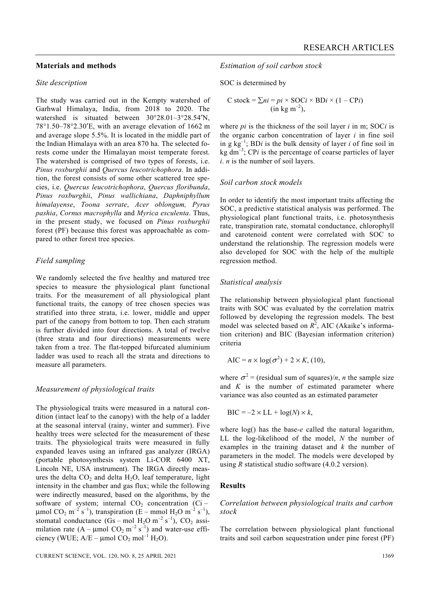# **Materials and methods**

# *Site description*

The study was carried out in the Kempty watershed of Garhwal Himalaya, India, from 2018 to 2020. The watershed is situated between 30°28.01–3°28.54′N, 78°1.50–78°2.30′E, with an average elevation of 1662 m and average slope 5.5%. It is located in the middle part of the Indian Himalaya with an area 870 ha. The selected forests come under the Himalayan moist temperate forest. The watershed is comprised of two types of forests, i.e. *Pinus roxburghii* and *Quercus leucotrichophora*. In addition, the forest consists of some other scattered tree species, i.e. *Quercus leucotrichophora*, *Quercus floribunda*, *Pinus roxburghii*, *Pinus wallichiana*, *Daphniphyllum himalayense*, *Toona serrate*, *Acer oblongum, Pyrus pashia*, *Cornus macrophylla* and *Myrica esculenta*. Thus, in the present study, we focused on *Pinus roxburghii* forest (PF) because this forest was approachable as compared to other forest tree species.

# *Field sampling*

We randomly selected the five healthy and matured tree species to measure the physiological plant functional traits. For the measurement of all physiological plant functional traits, the canopy of tree chosen species was stratified into three strata, i.e. lower, middle and upper part of the canopy from bottom to top. Then each stratum is further divided into four directions. A total of twelve (three strata and four directions) measurements were taken from a tree. The flat-topped bifurcated aluminium ladder was used to reach all the strata and directions to measure all parameters.

#### *Measurement of physiological traits*

The physiological traits were measured in a natural condition (intact leaf to the canopy) with the help of a ladder at the seasonal interval (rainy, winter and summer). Five healthy trees were selected for the measurement of these traits. The physiological traits were measured in fully expanded leaves using an infrared gas analyzer (IRGA) (portable photosynthesis system Li-COR 6400 XT, Lincoln NE, USA instrument). The IRGA directly measures the delta  $CO<sub>2</sub>$  and delta  $H<sub>2</sub>O$ , leaf temperature, light intensity in the chamber and gas flux; while the following were indirectly measured, based on the algorithms, by the software of system; internal  $CO<sub>2</sub>$  concentration (Ci – μmol CO<sub>2</sub> m<sup>-2</sup> s<sup>-1</sup>), transpiration (E – mmol H<sub>2</sub>O m<sup>-2</sup> s<sup>-1</sup>), stomatal conductance  $(Gs - mol H_2O m^{-2} s^{-1})$ , CO<sub>2</sub> assimilation rate  $(A – \mu mol CO<sub>2</sub> m<sup>-2</sup> s<sup>-1</sup>)$  and water-use efficiency (WUE;  $A/E - \mu$ mol CO<sub>2</sub> mol<sup>-1</sup> H<sub>2</sub>O).

*Estimation of soil carbon stock* 

SOC is determined by

C stock = 
$$
\sum ni = pi \times SOCi \times BDi \times (1 - CPi)
$$
  
(in kg m<sup>-2</sup>),

where *pi* is the thickness of the soil layer *i* in m; SOC*i* is the organic carbon concentration of layer *i* in fine soil in g  $kg^{-1}$ ; BD*i* is the bulk density of layer *i* of fine soil in kg  $dm^{-3}$ ; CP*i* is the percentage of coarse particles of layer *i*. *n* is the number of soil layers.

# *Soil carbon stock models*

In order to identify the most important traits affecting the SOC, a predictive statistical analysis was performed. The physiological plant functional traits, i.e. photosynthesis rate, transpiration rate, stomatal conductance, chlorophyll and carotenoid content were correlated with SOC to understand the relationship. The regression models were also developed for SOC with the help of the multiple regression method.

# *Statistical analysis*

The relationship between physiological plant functional traits with SOC was evaluated by the correlation matrix followed by developing the regression models. The best model was selected based on  $R^2$ , AIC (Akaike's information criterion) and BIC (Bayesian information criterion) criteria

$$
AIC = n \times \log(\sigma^2) + 2 \times K, (10),
$$

where  $\sigma^2$  = (residual sum of squares)/*n*, *n* the sample size and *K* is the number of estimated parameter where variance was also counted as an estimated parameter

$$
BIC = -2 \times LL + \log(N) \times k,
$$

where log() has the base-*e* called the natural logarithm, LL the log-likelihood of the model, *N* the number of examples in the training dataset and *k* the number of parameters in the model. The models were developed by using *R* statistical studio software (4.0.2 version).

# **Results**

# *Correlation between physiological traits and carbon stock*

The correlation between physiological plant functional traits and soil carbon sequestration under pine forest (PF)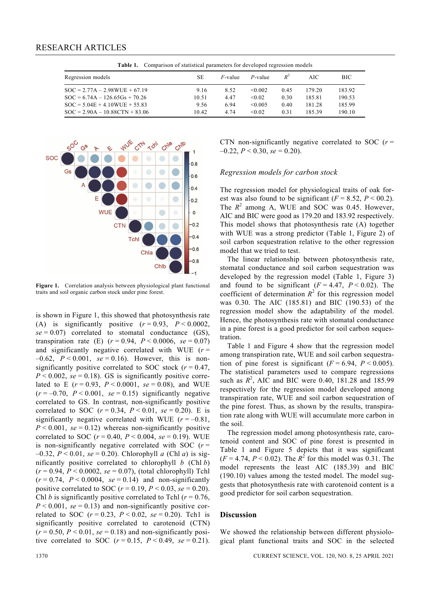**Table 1.** Comparison of statistical parameters for developed regression models

| Regression models                | SЕ    | $F$ -value | P-value      | $R^2$ | AIC.   | BIC.   |
|----------------------------------|-------|------------|--------------|-------|--------|--------|
| $SOC = 2.77A - 2.98WUE + 67.19$  | 9.16  | 8.52       | $\leq 0.002$ | 0.45  | 179.20 | 183.92 |
| $SOC = 6.74A - 126.65Gs + 70.26$ | 10.51 | 4.47       | < 0.02       | 0.30  | 185.81 | 190.53 |
| $SOC = 5.04E + 4.10WUE + 55.83$  | 9.56  | 6.94       | $\leq 0.005$ | 0.40  | 181.28 | 185.99 |
| $SOC = 2.90A - 10.88CTN + 83.06$ | 10.42 | 4 74       | < 0.02       | 0.31  | 18539  | 190.10 |



**Figure 1.** Correlation analysis between physiological plant functional traits and soil organic carbon stock under pine forest.

is shown in Figure 1, this showed that photosynthesis rate (A) is significantly positive  $(r = 0.93, P < 0.0002,$  $se = 0.07$ ) correlated to stomatal conductance (GS), transpiration rate (E)  $(r = 0.94, P < 0.0006, s e = 0.07)$ and significantly negative correlated with WUE  $(r =$  $-0.62$ ,  $P < 0.001$ ,  $se = 0.16$ ). However, this is nonsignificantly positive correlated to SOC stock  $(r = 0.47)$ ,  $P \le 0.002$ ,  $se = 0.18$ ). GS is significantly positive correlated to E  $(r = 0.93, P < 0.0001, se = 0.08)$ , and WUE  $(r = -0.70, P < 0.001, se = 0.15)$  significantly negative correlated to GS. In contrast, non-significantly positive correlated to SOC  $(r = 0.34, P < 0.01, se = 0.20)$ . E is significantly negative correlated with WUE  $(r = -0.81)$ ,  $P < 0.001$ ,  $se = 0.12$ ) whereas non-significantly positive correlated to SOC  $(r = 0.40, P < 0.004, s e = 0.19)$ . WUE is non-significantly negative correlated with SOC  $(r =$  $-0.32$ ,  $P < 0.01$ ,  $se = 0.20$ ). Chlorophyll *a* (Chl *a*) is significantly positive correlated to chlorophyll *b* (Chl *b*) (*r* = 0.94, *P* < 0.0002, *se* = 0.07), (total chlorophyll) Tchl  $(r=0.74, P<0.0004, se=0.14)$  and non-significantly positive correlated to SOC ( $r = 0.19$ ,  $P < 0.03$ ,  $se = 0.20$ ). Chl *b* is significantly positive correlated to Tchl  $(r = 0.76,$  $P < 0.001$ ,  $se = 0.13$ ) and non-significantly positive correlated to SOC  $(r = 0.23, P < 0.02, se = 0.20)$ . Tch1 is significantly positive correlated to carotenoid (CTN)  $(r = 0.50, P \le 0.01, \text{ se } = 0.18)$  and non-significantly positive correlated to SOC  $(r = 0.15, P < 0.49, se = 0.21)$ . CTN non-significantly negative correlated to SOC  $(r =$  $-0.22, P \le 0.30, se = 0.20$ .

# *Regression models for carbon stock*

The regression model for physiological traits of oak forest was also found to be significant  $(F = 8.52, P \le 00.2)$ . The  $R^2$  among A, WUE and SOC was 0.45. However, AIC and BIC were good as 179.20 and 183.92 respectively. This model shows that photosynthesis rate (A) together with WUE was a strong predictor (Table 1, Figure 2) of soil carbon sequestration relative to the other regression model that we tried to test.

 The linear relationship between photosynthesis rate, stomatal conductance and soil carbon sequestration was developed by the regression model (Table 1, Figure 3) and found to be significant  $(F = 4.47, P < 0.02)$ . The coefficient of determination  $R^2$  for this regression model was 0.30. The AIC (185.81) and BIC (190.53) of the regression model show the adaptability of the model. Hence, the photosynthesis rate with stomatal conductance in a pine forest is a good predictor for soil carbon sequestration.

 Table 1 and Figure 4 show that the regression model among transpiration rate, WUE and soil carbon sequestration of pine forest is significant  $(F = 6.94, P < 0.005)$ . The statistical parameters used to compare regressions such as  $R^2$ , AIC and BIC were 0.40, 181.28 and 185.99 respectively for the regression model developed among transpiration rate, WUE and soil carbon sequestration of the pine forest. Thus, as shown by the results, transpiration rate along with WUE will accumulate more carbon in the soil.

 The regression model among photosynthesis rate, carotenoid content and SOC of pine forest is presented in Table 1 and Figure 5 depicts that it was significant  $(F = 4.74, P < 0.02)$ . The  $R^2$  for this model was 0.31. The model represents the least AIC (185.39) and BIC (190.10) values among the tested model. The model suggests that photosynthesis rate with carotenoid content is a good predictor for soil carbon sequestration.

#### **Discussion**

We showed the relationship between different physiological plant functional traits and SOC in the selected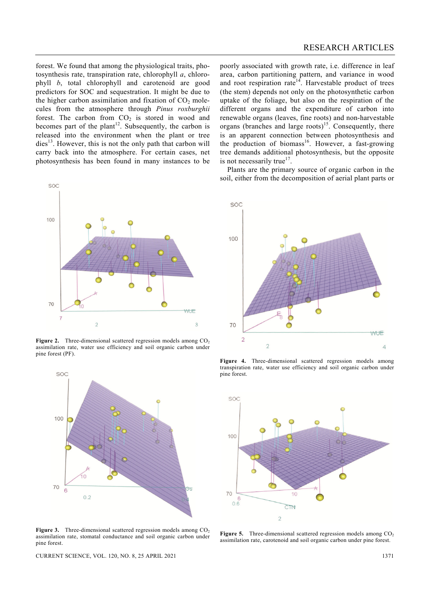forest. We found that among the physiological traits, photosynthesis rate, transpiration rate, chlorophyll *a*, chlorophyll *b*, total chlorophyll and carotenoid are good predictors for SOC and sequestration. It might be due to the higher carbon assimilation and fixation of  $CO<sub>2</sub>$  molecules from the atmosphere through *Pinus roxburghii*  forest. The carbon from  $CO<sub>2</sub>$  is stored in wood and becomes part of the plant<sup>12</sup>. Subsequently, the carbon is released into the environment when the plant or tree  $dies<sup>13</sup>$ . However, this is not the only path that carbon will carry back into the atmosphere. For certain cases, net photosynthesis has been found in many instances to be



**Figure 2.** Three-dimensional scattered regression models among CO<sub>2</sub> assimilation rate, water use efficiency and soil organic carbon under pine forest (PF).



**Figure 3.** Three-dimensional scattered regression models among CO<sub>2</sub> assimilation rate, stomatal conductance and soil organic carbon under pine forest.

poorly associated with growth rate, i.e. difference in leaf area, carbon partitioning pattern, and variance in wood and root respiration rate<sup>14</sup>. Harvestable product of trees (the stem) depends not only on the photosynthetic carbon uptake of the foliage, but also on the respiration of the different organs and the expenditure of carbon into renewable organs (leaves, fine roots) and non-harvestable organs (branches and large roots)<sup>15</sup>. Consequently, there is an apparent connection between photosynthesis and the production of biomass<sup>16</sup>. However, a fast-growing tree demands additional photosynthesis, but the opposite is not necessarily true<sup>17</sup>.

 Plants are the primary source of organic carbon in the soil, either from the decomposition of aerial plant parts or



**Figure 4.** Three-dimensional scattered regression models among transpiration rate, water use efficiency and soil organic carbon under pine forest.



**Figure 5.** Three-dimensional scattered regression models among CO<sub>2</sub> assimilation rate, carotenoid and soil organic carbon under pine forest.

CURRENT SCIENCE, VOL. 120, NO. 8, 25 APRIL 2021 1371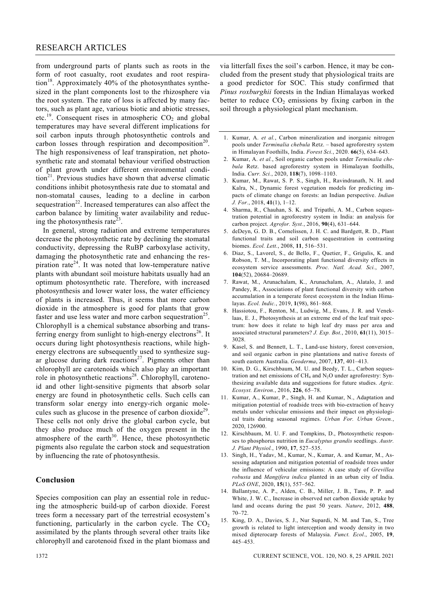from underground parts of plants such as roots in the form of root casualty, root exudates and root respiration<sup>18</sup>. Approximately 40% of the photosynthates synthesized in the plant components lost to the rhizosphere via the root system. The rate of loss is affected by many factors, such as plant age, various biotic and abiotic stresses, etc.<sup>19</sup>. Consequent rises in atmospheric  $CO<sub>2</sub>$  and global temperatures may have several different implications for soil carbon inputs through photosynthetic controls and carbon losses through respiration and decomposition<sup>20</sup>. The high responsiveness of leaf transpiration, net photosynthetic rate and stomatal behaviour verified obstruction of plant growth under different environmental condi- $\text{tion}^{21}$ . Previous studies have shown that adverse climatic conditions inhibit photosynthesis rate due to stomatal and non-stomatal causes, leading to a decline in carbon sequestration<sup>22</sup>. Increased temperatures can also affect the carbon balance by limiting water availability and reducing the photosynthesis rate<sup>23</sup>.

 In general, strong radiation and extreme temperatures decrease the photosynthetic rate by declining the stomatal conductivity, depressing the RuBP carboxylase activity, damaging the photosynthetic rate and enhancing the respiration rate<sup>24</sup>. It was noted that low-temperature native plants with abundant soil moisture habitats usually had an optimum photosynthetic rate. Therefore, with increased photosynthesis and lower water loss, the water efficiency of plants is increased. Thus, it seems that more carbon dioxide in the atmosphere is good for plants that grow faster and use less water and more carbon sequestration<sup>25</sup>. Chlorophyll is a chemical substance absorbing and transferring energy from sunlight to high-energy electrons<sup>26</sup>. It occurs during light photosynthesis reactions, while highenergy electrons are subsequently used to synthesize sugar glucose during dark reactions<sup>27</sup>. Pigments other than chlorophyll are carotenoids which also play an important role in photosynthetic reactions<sup>28</sup>. Chlorophyll, carotenoid and other light-sensitive pigments that absorb solar energy are found in photosynthetic cells. Such cells can transform solar energy into energy-rich organic molecules such as glucose in the presence of carbon dioxide<sup>29</sup>. These cells not only drive the global carbon cycle, but they also produce much of the oxygen present in the atmosphere of the earth $30$ . Hence, these photosynthetic pigments also regulate the carbon stock and sequestration by influencing the rate of photosynthesis.

# **Conclusion**

Species composition can play an essential role in reducing the atmospheric build-up of carbon dioxide. Forest trees form a necessary part of the terrestrial ecosystem's functioning, particularly in the carbon cycle. The  $CO<sub>2</sub>$ assimilated by the plants through several other traits like chlorophyll and carotenoid fixed in the plant biomass and

via litterfall fixes the soil's carbon. Hence, it may be concluded from the present study that physiological traits are a good predictor for SOC. This study confirmed that *Pinus roxburghii* forests in the Indian Himalayas worked better to reduce  $CO<sub>2</sub>$  emissions by fixing carbon in the soil through a physiological plant mechanism.

- 1. Kumar, A. *et al.*, Carbon mineralization and inorganic nitrogen pools under *Terminalia chebula* Retz. – based agroforestry system in Himalayan Foothills, India. *Forest Sci.*, 2020. **66**(5), 634–643.
- 2. Kumar, A. *et al.*, Soil organic carbon pools under *Terminalia chebula* Retz. based agroforestry system in Himalayan foothills, India. *Curr. Sci.*, 2020, **118**(7), 1098–1103.
- 3. Kumar, M., Rawat, S. P. S., Singh, H., Ravindranath, N. H. and Kalra, N., Dynamic forest vegetation models for predicting impacts of climate change on forests: an Indian perspective. *Indian J. For.*, 2018, **41**(1), 1–12.
- 4. Sharma, R., Chauhan, S. K. and Tripathi, A. M., Carbon sequestration potential in agroforestry system in India: an analysis for carbon project. *Agrofor. Syst.*, 2016, **90**(4), 631–644.
- 5. deDeyn, G. D. B., Cornelissen, J. H. C. and Bardgett, R. D., Plant functional traits and soil carbon sequestration in contrasting biomes. *Ecol. Lett.*, 2008, **11**, 516–531.
- 6. Diaz, S., Lavorel, S., de Bello, F., Quetier, F., Grigulis, K. and Robson, T. M., Incorporating plant functional diversity effects in ecosystem service assessments. *Proc. Natl. Acad. Sci.*, 2007, **104**(52), 20684–20689.
- 7. Rawat, M., Arunachalam, K., Arunachalam, A., Alatalo, J. and Pandey, R., Associations of plant functional diversity with carbon accumulation in a temperate forest ecosystem in the Indian Himalayas. *Ecol. Indic.*, 2019, **1**(98), 861–868.
- 8. Hassiotou, F., Renton, M., Ludwig, M., Evans, J. R. and Veneklaas, E. J., Photosynthesis at an extreme end of the leaf trait spectrum: how does it relate to high leaf dry mass per area and associated structural parameters? *J. Exp. Bot.*, 2010, **61**(11), 3015– 3028.
- 9. Kasel, S. and Bennett, L. T., Land-use history, forest conversion, and soil organic carbon in pine plantations and native forests of south eastern Australia. *Geoderma*, 2007, **137**, 401–413.
- 10. Kim, D. G., Kirschbaum, M. U. and Beedy, T. L., Carbon sequestration and net emissions of  $CH_4$  and  $N_2O$  under agroforestry: Synthesizing available data and suggestions for future studies. *Agric. Ecosyst. Environ.*, 2016, **226**, 65–78.
- 11. Kumar, A., Kumar, P., Singh, H. and Kumar, N., Adaptation and mitigation potential of roadside trees with bio-extraction of heavy metals under vehicular emissions and their impact on physiological traits during seasonal regimes. *Urban For. Urban Green.*, 2020, 126900.
- 12. Kirschbaum, M. U. F. and Tompkins, D., Photosynthetic responses to phosphorus nutrition in *Eucalyptus grandis* seedlings. *Austr. J. Plant Physiol.*, 1990, **17**, 527–535.
- 13. Singh, H., Yadav, M., Kumar, N., Kumar, A. and Kumar, M., Assessing adaptation and mitigation potential of roadside trees under the influence of vehicular emissions: A case study of *Grevillea robusta* and *Mangifera indica* planted in an urban city of India. *PLoS ONE*, 2020, **15**(1), 557–562.
- 14. Ballantyne, A. P., Alden, C. B., Miller, J. B., Tans, P. P. and White, J. W. C., Increase in observed net carbon dioxide uptake by land and oceans during the past 50 years. *Nature*, 2012, **488**, 70–72.
- 15. King, D. A., Davies, S. J., Nur Supardi, N. M. and Tan, S., Tree growth is related to light interception and woody density in two mixed dipterocarp forests of Malaysia. *Funct. Ecol*., 2005, **19**, 445–453.